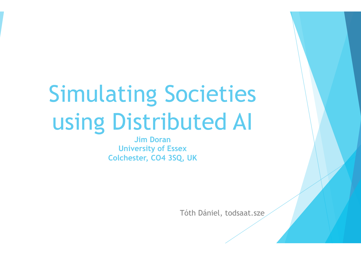# Simulating Societies using Distributed AI

**Jim Doran University of Essex Colchester, CO4 3SQ, UK**

Tóth Dániel, todsaat.sze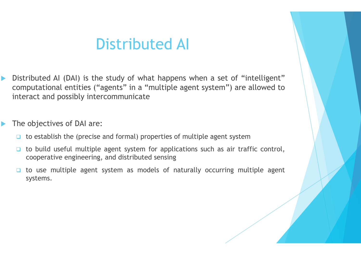#### Distributed AI

- Distributed AI (DAI) is the study of what happens when a set of "intelligent" computational entities ("agents" in a "multiple agent system") are allowed to interact and possibly intercommunicate
- The objectives of DAI are:
	- $\Box$  to establish the (precise and formal) properties of multiple agent system
	- $\Box$  to build useful multiple agent system for applications such as air traffic control, cooperative engineering, and distributed sensing
	- $\Box$  to use multiple agent system as models of naturally occurring multiple agent systems.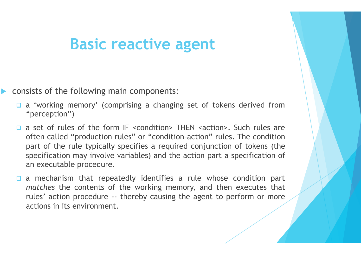#### **Basic reactive agent**

- consists of the following main components:
	- □ a 'working memory' (comprising a changing set of tokens derived from "perception")
	- $\Box$  a set of rules of the form IF <condition> THEN <action>. Such rules are often called "production rules" or "condition-action" rules. The condition part of the rule typically specifies a required conjunction of tokens (the specification may involve variables) and the action part a specification of an executable procedure.
	- a mechanism that repeatedly identifies a rule whose condition part *matches* the contents of the working memory, and then executes that rules' action procedure -- thereby causing the agent to perform or more actions in its environment.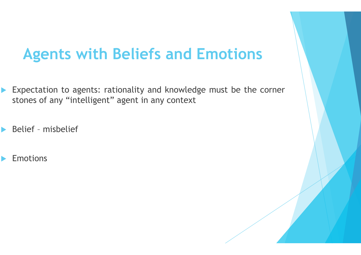### **Agents with Beliefs and Emotions**

- Expectation to agents: rationality and knowledge must be the corner stones of any "intelligent" agent in any context
- Belief misbelief
- **Emotions**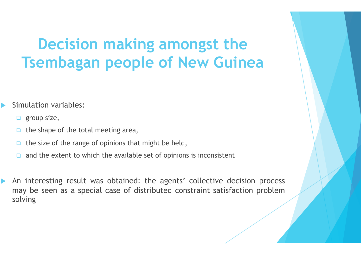## **Decision making amongst the Tsembagan people of New Guinea**

#### Simulation variables:

- $\Box$  group size,
- $\Box$  the shape of the total meeting area,
- the size of the range of opinions that might be held,
- and the extent to which the available set of opinions is inconsistent
- An interesting result was obtained: the agents' collective decision process may be seen as a special case of distributed constraint satisfaction problem solving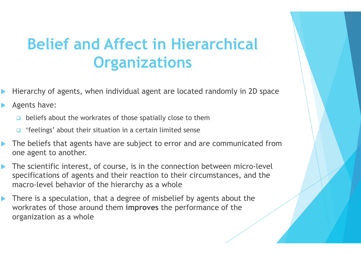# **Belief and Affect in Hierarchical Organizations**

- ▶ Hierarchy of agents, when individual agent are located randomly in 2D space
- **Agents have:** 
	- beliefs about the workrates of those spatially close to them
	- □ 'feelings' about their situation in a certain limited sense
- The beliefs that agents have are subject to error and are communicated from one agent to another.
- The scientific interest, of course, is in the connection between micro-level specifications of agents and their reaction to their circumstances, and the macro-level behavior of the hierarchy as a whole
- **There is a speculation, that a degree of misbelief by agents about the** workrates of those around them **improves** the performance of the organization as a whole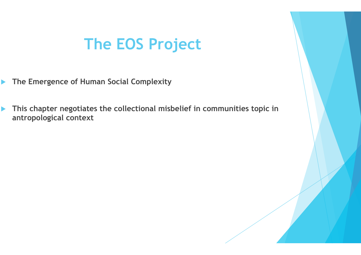#### **The EOS Project**

- **The Emergence of Human Social Complexity**
- **This chapter negotiates the collectional misbelief in communities topic in antropological context**